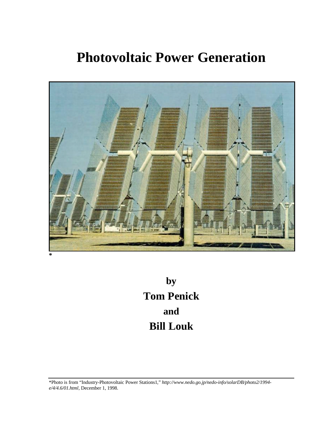# **Photovoltaic Power Generation**



**by Tom Penick and Bill Louk**

\*Photo is from "Industry-Photovoltaic Power Stations1*,*" *http://www.nedo.go.jp/nedo-info/solarDB/photo2/1994 e/4/4.6/01.html*, December 1, 1998.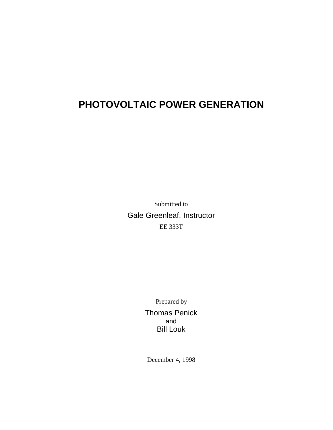# **PHOTOVOLTAIC POWER GENERATION**

Submitted to Gale Greenleaf, Instructor EE 333T

> Prepared by Thomas Penick and Bill Louk

December 4, 1998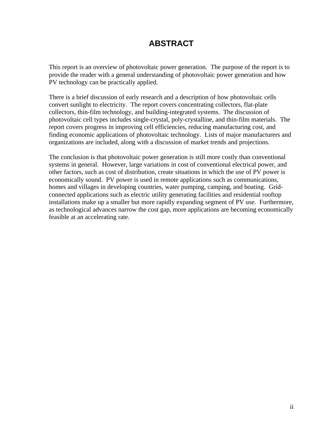# **ABSTRACT**

This report is an overview of photovoltaic power generation. The purpose of the report is to provide the reader with a general understanding of photovoltaic power generation and how PV technology can be practically applied.

There is a brief discussion of early research and a description of how photovoltaic cells convert sunlight to electricity. The report covers concentrating collectors, flat-plate collectors, thin-film technology, and building-integrated systems. The discussion of photovoltaic cell types includes single-crystal, poly-crystalline, and thin-film materials. The report covers progress in improving cell efficiencies, reducing manufacturing cost, and finding economic applications of photovoltaic technology. Lists of major manufacturers and organizations are included, along with a discussion of market trends and projections.

The conclusion is that photovoltaic power generation is still more costly than conventional systems in general. However, large variations in cost of conventional electrical power, and other factors, such as cost of distribution, create situations in which the use of PV power is economically sound. PV power is used in remote applications such as communications, homes and villages in developing countries, water pumping, camping, and boating. Gridconnected applications such as electric utility generating facilities and residential rooftop installations make up a smaller but more rapidly expanding segment of PV use. Furthermore, as technological advances narrow the cost gap, more applications are becoming economically feasible at an accelerating rate.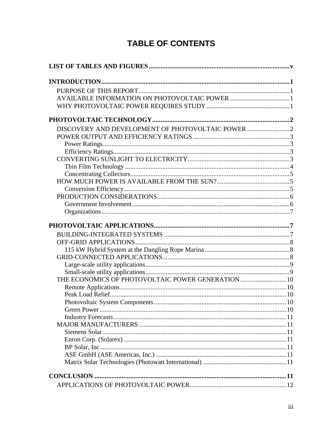# **TABLE OF CONTENTS**

| DISCOVERY AND DEVELOPMENT OF PHOTOVOLTAIC POWER    |  |  |
|----------------------------------------------------|--|--|
|                                                    |  |  |
|                                                    |  |  |
|                                                    |  |  |
|                                                    |  |  |
|                                                    |  |  |
|                                                    |  |  |
|                                                    |  |  |
|                                                    |  |  |
|                                                    |  |  |
|                                                    |  |  |
|                                                    |  |  |
|                                                    |  |  |
|                                                    |  |  |
|                                                    |  |  |
|                                                    |  |  |
|                                                    |  |  |
|                                                    |  |  |
|                                                    |  |  |
| THE ECONOMICS OF PHOTOVOLTAIC POWER GENERATION  10 |  |  |
|                                                    |  |  |
|                                                    |  |  |
|                                                    |  |  |
|                                                    |  |  |
|                                                    |  |  |
|                                                    |  |  |
|                                                    |  |  |
|                                                    |  |  |
|                                                    |  |  |
|                                                    |  |  |
|                                                    |  |  |
|                                                    |  |  |
|                                                    |  |  |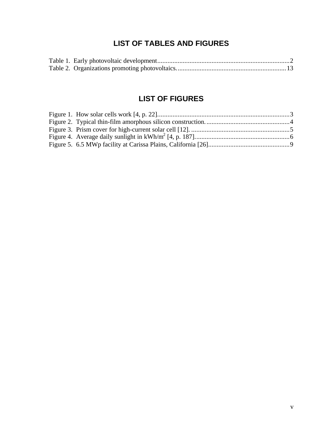## **LIST OF TABLES AND FIGURES**

## **LIST OF FIGURES**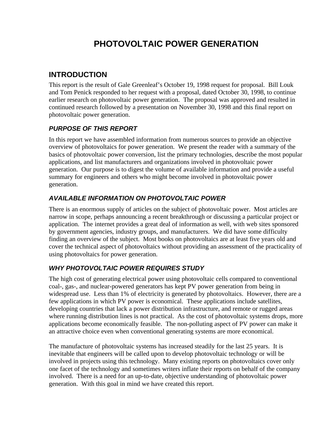# **PHOTOVOLTAIC POWER GENERATION**

## **INTRODUCTION**

This report is the result of Gale Greenleaf's October 19, 1998 request for proposal. Bill Louk and Tom Penick responded to her request with a proposal, dated October 30, 1998, to continue earlier research on photovoltaic power generation. The proposal was approved and resulted in continued research followed by a presentation on November 30, 1998 and this final report on photovoltaic power generation.

#### *PURPOSE OF THIS REPORT*

In this report we have assembled information from numerous sources to provide an objective overview of photovoltaics for power generation. We present the reader with a summary of the basics of photovoltaic power conversion, list the primary technologies, describe the most popular applications, and list manufacturers and organizations involved in photovoltaic power generation. Our purpose is to digest the volume of available information and provide a useful summary for engineers and others who might become involved in photovoltaic power generation.

#### *AVAILABLE INFORMATION ON PHOTOVOLTAIC POWER*

There is an enormous supply of articles on the subject of photovoltaic power. Most articles are narrow in scope, perhaps announcing a recent breakthrough or discussing a particular project or application. The internet provides a great deal of information as well, with web sites sponsored by government agencies, industry groups, and manufacturers. We did have some difficulty finding an overview of the subject. Most books on photovoltaics are at least five years old and cover the technical aspect of photovoltaics without providing an assessment of the practicality of using photovoltaics for power generation.

#### *WHY PHOTOVOLTAIC POWER REQUIRES STUDY*

The high cost of generating electrical power using photovoltaic cells compared to conventional coal-, gas-, and nuclear-powered generators has kept PV power generation from being in widespread use. Less than 1% of electricity is generated by photovoltaics. However, there are a few applications in which PV power is economical. These applications include satellites, developing countries that lack a power distribution infrastructure, and remote or rugged areas where running distribution lines is not practical. As the cost of photovoltaic systems drops, more applications become economically feasible. The non-polluting aspect of PV power can make it an attractive choice even when conventional generating systems are more economical.

The manufacture of photovoltaic systems has increased steadily for the last 25 years. It is inevitable that engineers will be called upon to develop photovoltaic technology or will be involved in projects using this technology. Many existing reports on photovoltaics cover only one facet of the technology and sometimes writers inflate their reports on behalf of the company involved. There is a need for an up-to-date, objective understanding of photovoltaic power generation. With this goal in mind we have created this report.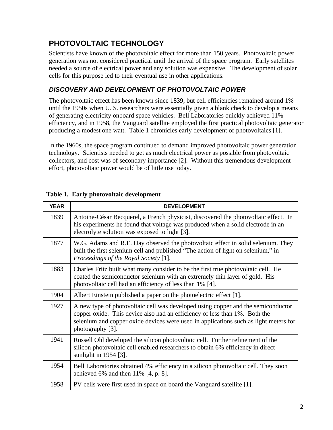# **PHOTOVOLTAIC TECHNOLOGY**

Scientists have known of the photovoltaic effect for more than 150 years. Photovoltaic power generation was not considered practical until the arrival of the space program. Early satellites needed a source of electrical power and any solution was expensive. The development of solar cells for this purpose led to their eventual use in other applications.

#### *DISCOVERY AND DEVELOPMENT OF PHOTOVOLTAIC POWER*

The photovoltaic effect has been known since 1839, but cell efficiencies remained around 1% until the 1950s when U. S. researchers were essentially given a blank check to develop a means of generating electricity onboard space vehicles. Bell Laboratories quickly achieved 11% efficiency, and in 1958, the Vanguard satellite employed the first practical photovoltaic generator producing a modest one watt. Table 1 chronicles early development of photovoltaics [1].

In the 1960s, the space program continued to demand improved photovoltaic power generation technology. Scientists needed to get as much electrical power as possible from photovoltaic collectors, and cost was of secondary importance [2]. Without this tremendous development effort, photovoltaic power would be of little use today.

| <b>YEAR</b> | <b>DEVELOPMENT</b>                                                                                                                                                                                                                                                         |
|-------------|----------------------------------------------------------------------------------------------------------------------------------------------------------------------------------------------------------------------------------------------------------------------------|
| 1839        | Antoine-César Becquerel, a French physicist, discovered the photovoltaic effect. In<br>his experiments he found that voltage was produced when a solid electrode in an<br>electrolyte solution was exposed to light [3].                                                   |
| 1877        | W.G. Adams and R.E. Day observed the photovoltaic effect in solid selenium. They<br>built the first selenium cell and published "The action of light on selenium," in<br>Proceedings of the Royal Society [1].                                                             |
| 1883        | Charles Fritz built what many consider to be the first true photovoltaic cell. He<br>coated the semiconductor selenium with an extremely thin layer of gold. His<br>photovoltaic cell had an efficiency of less than 1% [4].                                               |
| 1904        | Albert Einstein published a paper on the photoelectric effect [1].                                                                                                                                                                                                         |
| 1927        | A new type of photovoltaic cell was developed using copper and the semiconductor<br>copper oxide. This device also had an efficiency of less than 1%. Both the<br>selenium and copper oxide devices were used in applications such as light meters for<br>photography [3]. |
| 1941        | Russell Ohl developed the silicon photovoltaic cell. Further refinement of the<br>silicon photovoltaic cell enabled researchers to obtain 6% efficiency in direct<br>sunlight in 1954 [3].                                                                                 |
| 1954        | Bell Laboratories obtained 4% efficiency in a silicon photovoltaic cell. They soon<br>achieved 6% and then $11\%$ [4, p. 8].                                                                                                                                               |
| 1958        | PV cells were first used in space on board the Vanguard satellite [1].                                                                                                                                                                                                     |

#### **Table 1. Early photovoltaic development**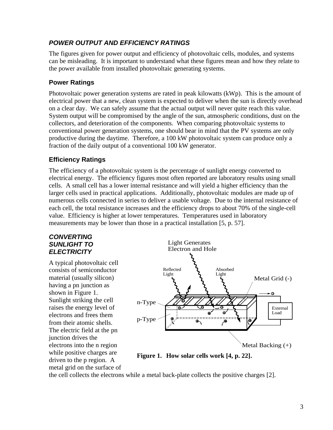#### *POWER OUTPUT AND EFFICIENCY RATINGS*

The figures given for power output and efficiency of photovoltaic cells, modules, and systems can be misleading. It is important to understand what these figures mean and how they relate to the power available from installed photovoltaic generating systems.

#### **Power Ratings**

Photovoltaic power generation systems are rated in peak kilowatts (kWp). This is the amount of electrical power that a new, clean system is expected to deliver when the sun is directly overhead on a clear day. We can safely assume that the actual output will never quite reach this value. System output will be compromised by the angle of the sun, atmospheric conditions, dust on the collectors, and deterioration of the components. When comparing photovoltaic systems to conventional power generation systems, one should bear in mind that the PV systems are only productive during the daytime. Therefore, a 100 kW photovoltaic system can produce only a fraction of the daily output of a conventional 100 kW generator.

#### **Efficiency Ratings**

The efficiency of a photovoltaic system is the percentage of sunlight energy converted to electrical energy. The efficiency figures most often reported are laboratory results using small cells. A small cell has a lower internal resistance and will yield a higher efficiency than the larger cells used in practical applications. Additionally, photovoltaic modules are made up of numerous cells connected in series to deliver a usable voltage. Due to the internal resistance of each cell, the total resistance increases and the efficiency drops to about 70% of the single-cell value. Efficiency is higher at lower temperatures. Temperatures used in laboratory measurements may be lower than those in a practical installation [5, p. 57].

#### *CONVERTING SUNLIGHT TO ELECTRICITY*

A typical photovoltaic cell consists of semiconductor material (usually silicon) having a pn junction as shown in Figure 1. Sunlight striking the cell raises the energy level of electrons and frees them from their atomic shells. The electric field at the pn junction drives the electrons into the n region while positive charges are driven to the p region. A metal grid on the surface of



**Figure 1. How solar cells work [4, p. 22].**

the cell collects the electrons while a metal back-plate collects the positive charges [2].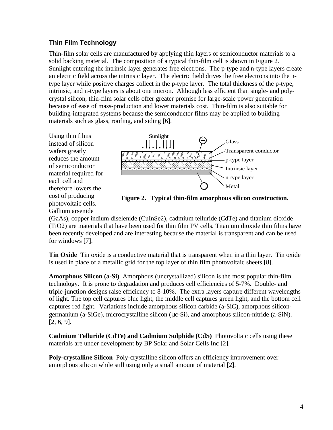#### **Thin Film Technology**

Thin-film solar cells are manufactured by applying thin layers of semiconductor materials to a solid backing material. The composition of a typical thin-film cell is shown in Figure 2. Sunlight entering the intrinsic layer generates free electrons. The p-type and n-type layers create an electric field across the intrinsic layer. The electric field drives the free electrons into the ntype layer while positive charges collect in the p-type layer. The total thickness of the p-type, intrinsic, and n-type layers is about one micron. Although less efficient than single- and polycrystal silicon, thin-film solar cells offer greater promise for large-scale power generation because of ease of mass-production and lower materials cost. Thin-film is also suitable for building-integrated systems because the semiconductor films may be applied to building materials such as glass, roofing, and siding [6].

Using thin films instead of silicon wafers greatly reduces the amount of semiconductor material required for each cell and therefore lowers the cost of producing photovoltaic cells. Gallium arsenide



**Figure 2. Typical thin-film amorphous silicon construction.**

(GaAs), copper indium diselenide (CuInSe2), cadmium telluride (CdTe) and titanium dioxide (TiO2) are materials that have been used for thin film PV cells. Titanium dioxide thin films have been recently developed and are interesting because the material is transparent and can be used for windows [7].

**Tin Oxide** Tin oxide is a conductive material that is transparent when in a thin layer. Tin oxide is used in place of a metallic grid for the top layer of thin film photovoltaic sheets [8].

**Amorphous Silicon (a-Si)** Amorphous (uncrystallized) silicon is the most popular thin-film technology. It is prone to degradation and produces cell efficiencies of 5-7%. Double- and triple-junction designs raise efficiency to 8-10%. The extra layers capture different wavelengths of light. The top cell captures blue light, the middle cell captures green light, and the bottom cell captures red light. Variations include amorphous silicon carbide (a-SiC), amorphous silicongermanium (a-SiGe), microcrystalline silicon (μc-Si), and amorphous silicon-nitride (a-SiN). [2, 6, 9].

**Cadmium Telluride (CdTe) and Cadmium Sulphide (CdS)** Photovoltaic cells using these materials are under development by BP Solar and Solar Cells Inc [2].

**Poly-crystalline Silicon** Poly-crystalline silicon offers an efficiency improvement over amorphous silicon while still using only a small amount of material [2].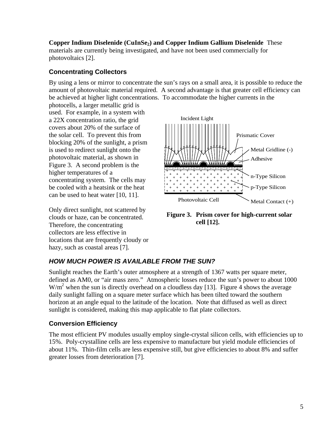**Copper Indium Diselenide (CuInSe2) and Copper Indium Gallium Diselenide** These materials are currently being investigated, and have not been used commercially for photovoltaics [2].

#### **Concentrating Collectors**

By using a lens or mirror to concentrate the sun's rays on a small area, it is possible to reduce the amount of photovoltaic material required. A second advantage is that greater cell efficiency can be achieved at higher light concentrations. To accommodate the higher currents in the

photocells, a larger metallic grid is used. For example, in a system with a 22X concentration ratio, the grid covers about 20% of the surface of the solar cell. To prevent this from blocking 20% of the sunlight, a prism is used to redirect sunlight onto the photovoltaic material, as shown in Figure 3. A second problem is the higher temperatures of a concentrating system. The cells may be cooled with a heatsink or the heat can be used to heat water [10, 11].

Only direct sunlight, not scattered by clouds or haze, can be concentrated. Therefore, the concentrating collectors are less effective in locations that are frequently cloudy or hazy, such as coastal areas [7].



**Figure 3. Prism cover for high-current solar cell [12].**

#### *HOW MUCH POWER IS AVAILABLE FROM THE SUN?*

Sunlight reaches the Earth's outer atmosphere at a strength of 1367 watts per square meter, defined as AM0, or "air mass zero." Atmospheric losses reduce the sun's power to about 1000  $W/m<sup>2</sup>$  when the sun is directly overhead on a cloudless day [13]. Figure 4 shows the average daily sunlight falling on a square meter surface which has been tilted toward the southern horizon at an angle equal to the latitude of the location. Note that diffused as well as direct sunlight is considered, making this map applicable to flat plate collectors.

#### **Conversion Efficiency**

The most efficient PV modules usually employ single-crystal silicon cells, with efficiencies up to 15%. Poly-crystalline cells are less expensive to manufacture but yield module efficiencies of about 11%. Thin-film cells are less expensive still, but give efficiencies to about 8% and suffer greater losses from deterioration [7].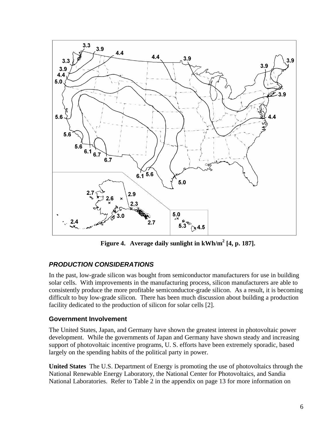

**Figure 4. Average daily sunlight in kWh/m<sup>2</sup> [4, p. 187].**

#### *PRODUCTION CONSIDERATIONS*

In the past, low-grade silicon was bought from semiconductor manufacturers for use in building solar cells. With improvements in the manufacturing process, silicon manufacturers are able to consistently produce the more profitable semiconductor-grade silicon. As a result, it is becoming difficult to buy low-grade silicon. There has been much discussion about building a production facility dedicated to the production of silicon for solar cells [2].

#### **Government Involvement**

The United States, Japan, and Germany have shown the greatest interest in photovoltaic power development. While the governments of Japan and Germany have shown steady and increasing support of photovoltaic incentive programs, U. S. efforts have been extremely sporadic, based largely on the spending habits of the political party in power.

**United States** The U.S. Department of Energy is promoting the use of photovoltaics through the National Renewable Energy Laboratory, the National Center for Photovoltaics, and Sandia National Laboratories. Refer to Table 2 in the appendix on page 13 for more information on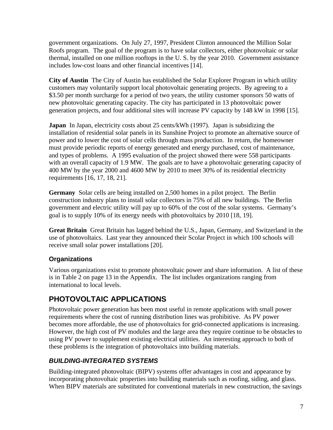government organizations. On July 27, 1997, President Clinton announced the Million Solar Roofs program. The goal of the program is to have solar collectors, either photovoltaic or solar thermal, installed on one million rooftops in the U. S. by the year 2010. Government assistance includes low-cost loans and other financial incentives [14].

**City of Austin** The City of Austin has established the Solar Explorer Program in which utility customers may voluntarily support local photovoltaic generating projects. By agreeing to a \$3.50 per month surcharge for a period of two years, the utility customer sponsors 50 watts of new photovoltaic generating capacity. The city has participated in 13 photovoltaic power generation projects, and four additional sites will increase PV capacity by 148 kW in 1998 [15].

**Japan** In Japan, electricity costs about 25 cents/kWh (1997). Japan is subsidizing the installation of residential solar panels in its Sunshine Project to promote an alternative source of power and to lower the cost of solar cells through mass production. In return, the homeowner must provide periodic reports of energy generated and energy purchased, cost of maintenance, and types of problems. A 1995 evaluation of the project showed there were 558 participants with an overall capacity of 1.9 MW. The goals are to have a photovoltaic generating capacity of 400 MW by the year 2000 and 4600 MW by 2010 to meet 30% of its residential electricity requirements [16, 17, 18, 21].

**Germany** Solar cells are being installed on 2,500 homes in a pilot project. The Berlin construction industry plans to install solar collectors in 75% of all new buildings. The Berlin government and electric utility will pay up to 60% of the cost of the solar systems. Germany's goal is to supply 10% of its energy needs with photovoltaics by 2010 [18, 19].

**Great Britain** Great Britain has lagged behind the U.S., Japan, Germany, and Switzerland in the use of photovoltaics. Last year they announced their Scolar Project in which 100 schools will receive small solar power installations [20].

#### **Organizations**

Various organizations exist to promote photovoltaic power and share information. A list of these is in Table 2 on page 13 in the Appendix. The list includes organizations ranging from international to local levels.

# **PHOTOVOLTAIC APPLICATIONS**

Photovoltaic power generation has been most useful in remote applications with small power requirements where the cost of running distribution lines was prohibitive. As PV power becomes more affordable, the use of photovoltaics for grid-connected applications is increasing. However, the high cost of PV modules and the large area they require continue to be obstacles to using PV power to supplement existing electrical utilities. An interesting approach to both of these problems is the integration of photovoltaics into building materials.

#### *BUILDING-INTEGRATED SYSTEMS*

Building-integrated photovoltaic (BIPV) systems offer advantages in cost and appearance by incorporating photovoltaic properties into building materials such as roofing, siding, and glass. When BIPV materials are substituted for conventional materials in new construction, the savings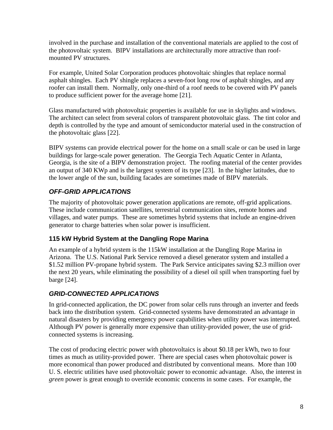involved in the purchase and installation of the conventional materials are applied to the cost of the photovoltaic system. BIPV installations are architecturally more attractive than roofmounted PV structures.

For example, United Solar Corporation produces photovoltaic shingles that replace normal asphalt shingles. Each PV shingle replaces a seven-foot long row of asphalt shingles, and any roofer can install them. Normally, only one-third of a roof needs to be covered with PV panels to produce sufficient power for the average home [21].

Glass manufactured with photovoltaic properties is available for use in skylights and windows. The architect can select from several colors of transparent photovoltaic glass. The tint color and depth is controlled by the type and amount of semiconductor material used in the construction of the photovoltaic glass [22].

BIPV systems can provide electrical power for the home on a small scale or can be used in large buildings for large-scale power generation. The Georgia Tech Aquatic Center in Atlanta, Georgia, is the site of a BIPV demonstration project. The roofing material of the center provides an output of 340 KWp and is the largest system of its type [23]. In the higher latitudes, due to the lower angle of the sun, building facades are sometimes made of BIPV materials.

#### *OFF-GRID APPLICATIONS*

The majority of photovoltaic power generation applications are remote, off-grid applications. These include communication satellites, terrestrial communication sites, remote homes and villages, and water pumps. These are sometimes hybrid systems that include an engine-driven generator to charge batteries when solar power is insufficient.

#### **115 kW Hybrid System at the Dangling Rope Marina**

An example of a hybrid system is the 115kW installation at the Dangling Rope Marina in Arizona. The U.S. National Park Service removed a diesel generator system and installed a \$1.52 million PV-propane hybrid system. The Park Service anticipates saving \$2.3 million over the next 20 years, while eliminating the possibility of a diesel oil spill when transporting fuel by barge [24].

#### *GRID-CONNECTED APPLICATIONS*

In grid-connected application, the DC power from solar cells runs through an inverter and feeds back into the distribution system. Grid-connected systems have demonstrated an advantage in natural disasters by providing emergency power capabilities when utility power was interrupted. Although PV power is generally more expensive than utility-provided power, the use of gridconnected systems is increasing.

The cost of producing electric power with photovoltaics is about \$0.18 per kWh, two to four times as much as utility-provided power. There are special cases when photovoltaic power is more economical than power produced and distributed by conventional means. More than 100 U. S. electric utilities have used photovoltaic power to economic advantage. Also, the interest in *green* power is great enough to override economic concerns in some cases. For example, the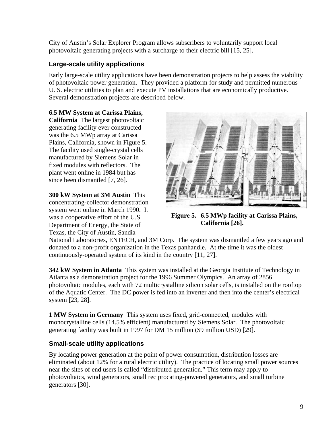City of Austin's Solar Explorer Program allows subscribers to voluntarily support local photovoltaic generating projects with a surcharge to their electric bill [15, 25].

#### **Large-scale utility applications**

Early large-scale utility applications have been demonstration projects to help assess the viability of photovoltaic power generation. They provided a platform for study and permitted numerous U. S. electric utilities to plan and execute PV installations that are economically productive. Several demonstration projects are described below.

#### **6.5 MW System at Carissa Plains,**

**California** The largest photovoltaic generating facility ever constructed was the 6.5 MWp array at Carissa Plains, California, shown in Figure 5. The facility used single-crystal cells manufactured by Siemens Solar in fixed modules with reflectors. The plant went online in 1984 but has since been dismantled [7, 26].

#### **300 kW System at 3M Austin** This

concentrating-collector demonstration system went online in March 1990. It was a cooperative effort of the U.S. Department of Energy, the State of Texas, the City of Austin, Sandia



**Figure 5. 6.5 MWp facility at Carissa Plains, California [26].**

National Laboratories, ENTECH, and 3M Corp. The system was dismantled a few years ago and donated to a non-profit organization in the Texas panhandle. At the time it was the oldest continuously-operated system of its kind in the country [11, 27].

**342 kW System in Atlanta** This system was installed at the Georgia Institute of Technology in Atlanta as a demonstration project for the 1996 Summer Olympics. An array of 2856 photovoltaic modules, each with 72 multicrystalline silicon solar cells, is installed on the rooftop of the Aquatic Center. The DC power is fed into an inverter and then into the center's electrical system [23, 28].

**1 MW System in Germany** This system uses fixed, grid-connected, modules with monocrystalline cells (14.5% efficient) manufactured by Siemens Solar. The photovoltaic generating facility was built in 1997 for DM 15 million (\$9 million USD) [29].

#### **Small-scale utility applications**

By locating power generation at the point of power consumption, distribution losses are eliminated (about 12% for a rural electric utility). The practice of locating small power sources near the sites of end users is called "distributed generation." This term may apply to photovoltaics, wind generators, small reciprocating-powered generators, and small turbine generators [30].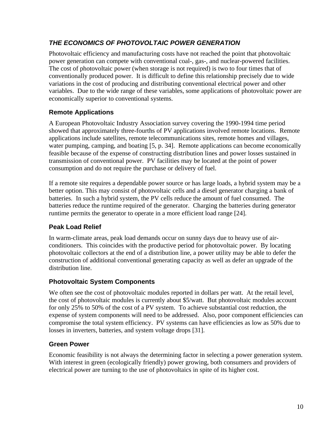#### *THE ECONOMICS OF PHOTOVOLTAIC POWER GENERATION*

Photovoltaic efficiency and manufacturing costs have not reached the point that photovoltaic power generation can compete with conventional coal-, gas-, and nuclear-powered facilities. The cost of photovoltaic power (when storage is not required) is two to four times that of conventionally produced power. It is difficult to define this relationship precisely due to wide variations in the cost of producing and distributing conventional electrical power and other variables. Due to the wide range of these variables, some applications of photovoltaic power are economically superior to conventional systems.

#### **Remote Applications**

A European Photovoltaic Industry Association survey covering the 1990-1994 time period showed that approximately three-fourths of PV applications involved remote locations. Remote applications include satellites, remote telecommunications sites, remote homes and villages, water pumping, camping, and boating [5, p. 34]. Remote applications can become economically feasible because of the expense of constructing distribution lines and power losses sustained in transmission of conventional power. PV facilities may be located at the point of power consumption and do not require the purchase or delivery of fuel.

If a remote site requires a dependable power source or has large loads, a hybrid system may be a better option. This may consist of photovoltaic cells and a diesel generator charging a bank of batteries. In such a hybrid system, the PV cells reduce the amount of fuel consumed. The batteries reduce the runtime required of the generator. Charging the batteries during generator runtime permits the generator to operate in a more efficient load range [24].

#### **Peak Load Relief**

In warm-climate areas, peak load demands occur on sunny days due to heavy use of airconditioners. This coincides with the productive period for photovoltaic power. By locating photovoltaic collectors at the end of a distribution line, a power utility may be able to defer the construction of additional conventional generating capacity as well as defer an upgrade of the distribution line.

#### **Photovoltaic System Components**

We often see the cost of photovoltaic modules reported in dollars per watt. At the retail level, the cost of photovoltaic modules is currently about \$5/watt. But photovoltaic modules account for only 25% to 50% of the cost of a PV system. To achieve substantial cost reduction, the expense of system components will need to be addressed. Also, poor component efficiencies can compromise the total system efficiency. PV systems can have efficiencies as low as 50% due to losses in inverters, batteries, and system voltage drops [31].

#### **Green Power**

Economic feasibility is not always the determining factor in selecting a power generation system. With interest in green (ecologically friendly) power growing, both consumers and providers of electrical power are turning to the use of photovoltaics in spite of its higher cost.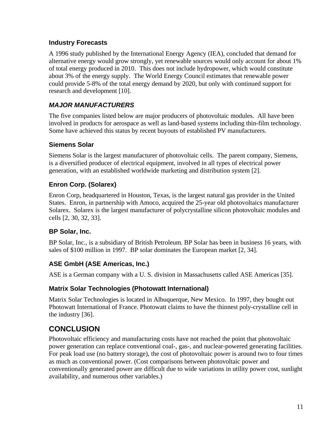#### **Industry Forecasts**

A 1996 study published by the International Energy Agency (IEA), concluded that demand for alternative energy would grow strongly, yet renewable sources would only account for about 1% of total energy produced in 2010. This does not include hydropower, which would constitute about 3% of the energy supply. The World Energy Council estimates that renewable power could provide 5-8% of the total energy demand by 2020, but only with continued support for research and development [10].

#### *MAJOR MANUFACTURERS*

The five companies listed below are major producers of photovoltaic modules. All have been involved in products for aerospace as well as land-based systems including thin-film technology. Some have achieved this status by recent buyouts of established PV manufacturers.

#### **Siemens Solar**

Siemens Solar is the largest manufacturer of photovoltaic cells. The parent company, Siemens, is a diversified producer of electrical equipment, involved in all types of electrical power generation, with an established worldwide marketing and distribution system [2].

#### **Enron Corp. (Solarex)**

Enron Corp, headquartered in Houston, Texas, is the largest natural gas provider in the United States. Enron, in partnership with Amoco, acquired the 25-year old photovoltaics manufacturer Solarex. Solarex is the largest manufacturer of polycrystalline silicon photovoltaic modules and cells [2, 30, 32, 33].

#### **BP Solar, Inc.**

BP Solar, Inc., is a subsidiary of British Petroleum. BP Solar has been in business 16 years, with sales of \$100 million in 1997. BP solar dominates the European market [2, 34].

#### **ASE GmbH (ASE Americas, Inc.)**

ASE is a German company with a U. S. division in Massachusetts called ASE Americas [35].

#### **Matrix Solar Technologies (Photowatt International)**

Matrix Solar Technologies is located in Albuquerque, New Mexico. In 1997, they bought out Photowatt International of France. Photowatt claims to have the thinnest poly-crystalline cell in the industry [36].

# **CONCLUSION**

Photovoltaic efficiency and manufacturing costs have not reached the point that photovoltaic power generation can replace conventional coal-, gas-, and nuclear-powered generating facilities. For peak load use (no battery storage), the cost of photovoltaic power is around two to four times as much as conventional power. (Cost comparisons between photovoltaic power and conventionally generated power are difficult due to wide variations in utility power cost, sunlight availability, and numerous other variables.)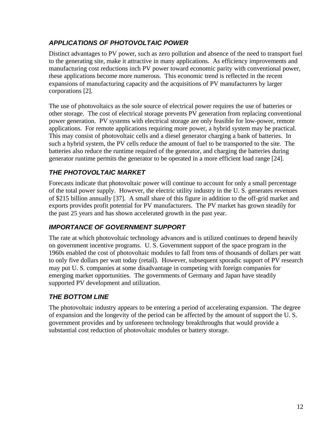#### *APPLICATIONS OF PHOTOVOLTAIC POWER*

Distinct advantages to PV power, such as zero pollution and absence of the need to transport fuel to the generating site, make it attractive in many applications. As efficiency improvements and manufacturing cost reductions inch PV power toward economic parity with conventional power, these applications become more numerous. This economic trend is reflected in the recent expansions of manufacturing capacity and the acquisitions of PV manufacturers by larger corporations [2].

The use of photovoltaics as the sole source of electrical power requires the use of batteries or other storage. The cost of electrical storage prevents PV generation from replacing conventional power generation. PV systems with electrical storage are only feasible for low-power, remote applications. For remote applications requiring more power, a hybrid system may be practical. This may consist of photovoltaic cells and a diesel generator charging a bank of batteries. In such a hybrid system, the PV cells reduce the amount of fuel to be transported to the site. The batteries also reduce the runtime required of the generator, and charging the batteries during generator runtime permits the generator to be operated in a more efficient load range [24].

#### *THE PHOTOVOLTAIC MARKET*

Forecasts indicate that photovoltaic power will continue to account for only a small percentage of the total power supply. However, the electric utility industry in the U. S. generates revenues of \$215 billion annually [37]. A small share of this figure in addition to the off-grid market and exports provides profit potential for PV manufacturers. The PV market has grown steadily for the past 25 years and has shown accelerated growth in the past year.

#### *IMPORTANCE OF GOVERNMENT SUPPORT*

The rate at which photovoltaic technology advances and is utilized continues to depend heavily on government incentive programs. U. S. Government support of the space program in the 1960s enabled the cost of photovoltaic modules to fall from tens of thousands of dollars per watt to only five dollars per watt today (retail). However, subsequent sporadic support of PV research may put U. S. companies at some disadvantage in competing with foreign companies for emerging market opportunities. The governments of Germany and Japan have steadily supported PV development and utilization.

#### *THE BOTTOM LINE*

The photovoltaic industry appears to be entering a period of accelerating expansion. The degree of expansion and the longevity of the period can be affected by the amount of support the U. S. government provides and by unforeseen technology breakthroughs that would provide a substantial cost reduction of photovoltaic modules or battery storage.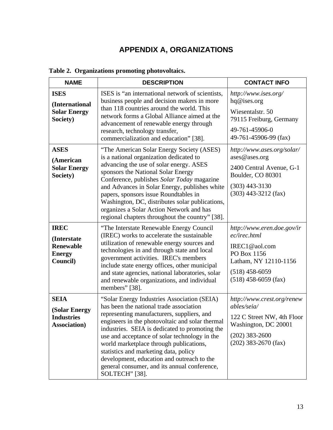# **APPENDIX A, ORGANIZATIONS**

| <b>NAME</b>                                                                       | <b>DESCRIPTION</b>                                                                                                                                                                                                                                                                                                                                                                                                                                                                             | <b>CONTACT INFO</b>                                                                                                                               |
|-----------------------------------------------------------------------------------|------------------------------------------------------------------------------------------------------------------------------------------------------------------------------------------------------------------------------------------------------------------------------------------------------------------------------------------------------------------------------------------------------------------------------------------------------------------------------------------------|---------------------------------------------------------------------------------------------------------------------------------------------------|
| <b>ISES</b><br>(International<br><b>Solar Energy</b><br>Society)                  | ISES is "an international network of scientists,<br>business people and decision makers in more<br>than 118 countries around the world. This<br>network forms a Global Alliance aimed at the<br>advancement of renewable energy through<br>research, technology transfer,<br>commercialization and education" [38].                                                                                                                                                                            | http://www.ises.org/<br>hq@ises.org<br>Wiesentalstr. 50<br>79115 Freiburg, Germany<br>49-761-45906-0<br>49-761-45906-99 (fax)                     |
| <b>ASES</b><br>(American<br><b>Solar Energy</b><br>Society)                       | "The American Solar Energy Society (ASES)<br>is a national organization dedicated to<br>advancing the use of solar energy. ASES<br>sponsors the National Solar Energy<br>Conference, publishes Solar Today magazine<br>and Advances in Solar Energy, publishes white<br>papers, sponsors issue Roundtables in<br>Washington, DC, distributes solar publications,<br>organizes a Solar Action Network and has<br>regional chapters throughout the country" [38].                                | http://www.ases.org/solar/<br>ases@ases.org<br>2400 Central Avenue, G-1<br>Boulder, CO 80301<br>$(303)$ 443-3130<br>$(303)$ 443-3212 (fax)        |
| <b>IREC</b><br>(Interstate)<br><b>Renewable</b><br><b>Energy</b><br>Council)      | "The Interstate Renewable Energy Council<br>(IREC) works to accelerate the sustainable<br>utilization of renewable energy sources and<br>technologies in and through state and local<br>government activities. IREC's members<br>include state energy offices, other municipal<br>and state agencies, national laboratories, solar<br>and renewable organizations, and individual<br>members" [38].                                                                                            | http://www.eren.doe.gov/ir<br>ec/irec.html<br>IREC1@aol.com<br>PO Box 1156<br>Latham, NY 12110-1156<br>$(518)$ 458-6059<br>$(518)$ 458-6059 (fax) |
| <b>SEIA</b><br><b>(Solar Energy)</b><br><b>Industries</b><br><b>Association</b> ) | "Solar Energy Industries Association (SEIA)<br>has been the national trade association<br>representing manufacturers, suppliers, and<br>engineers in the photovoltaic and solar thermal<br>industries. SEIA is dedicated to promoting the<br>use and acceptance of solar technology in the<br>world marketplace through publications,<br>statistics and marketing data, policy<br>development, education and outreach to the<br>general consumer, and its annual conference,<br>SOLTECH" [38]. | http://www.crest.org/renew<br>ables/seia/<br>122 C Street NW, 4th Floor<br>Washington, DC 20001<br>$(202)$ 383-2600<br>$(202)$ 383-2670 (fax)     |

### **Table 2. Organizations promoting photovoltaics.**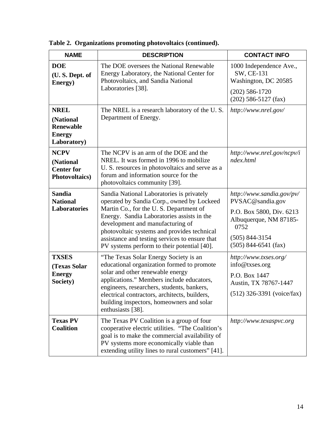| <b>NAME</b>                                                                  | <b>DESCRIPTION</b>                                                                                                                                                                                                                                                                                                                                                  | <b>CONTACT INFO</b>                                                                                                                                         |
|------------------------------------------------------------------------------|---------------------------------------------------------------------------------------------------------------------------------------------------------------------------------------------------------------------------------------------------------------------------------------------------------------------------------------------------------------------|-------------------------------------------------------------------------------------------------------------------------------------------------------------|
| <b>DOE</b><br>(U.S. Dept. of<br>Energy)                                      | The DOE oversees the National Renewable<br>Energy Laboratory, the National Center for<br>Photovoltaics, and Sandia National<br>Laboratories [38].                                                                                                                                                                                                                   | 1000 Independence Ave.,<br>SW, CE-131<br>Washington, DC 20585<br>$(202)$ 586-1720<br>$(202)$ 586-5127 (fax)                                                 |
| <b>NREL</b><br>(National<br><b>Renewable</b><br><b>Energy</b><br>Laboratory) | The NREL is a research laboratory of the U.S.<br>Department of Energy.                                                                                                                                                                                                                                                                                              | http://www.nrel.gov/                                                                                                                                        |
| <b>NCPV</b><br>(National<br><b>Center for</b><br><b>Photovoltaics</b> )      | The NCPV is an arm of the DOE and the<br>NREL. It was formed in 1996 to mobilize<br>U. S. resources in photovoltaics and serve as a<br>forum and information source for the<br>photovoltaics community [39].                                                                                                                                                        | http://www.nrel.gov/ncpv/i<br>ndex.html                                                                                                                     |
| <b>Sandia</b><br><b>National</b><br><b>Laboratories</b>                      | Sandia National Laboratories is privately<br>operated by Sandia Corp., owned by Lockeed<br>Martin Co., for the U.S. Department of<br>Energy. Sandia Laboratories assists in the<br>development and manufacturing of<br>photovoltaic systems and provides technical<br>assistance and testing services to ensure that<br>PV systems perform to their potential [40]. | http://www.sandia.gov/pv/<br>PVSAC@sandia.gov<br>P.O. Box 5800, Div. 6213<br>Albuquerque, NM 87185-<br>0752<br>$(505) 844 - 3154$<br>$(505)$ 844-6541 (fax) |
| <b>TXSES</b><br>(Texas Solar<br><b>Energy</b><br>Society)                    | "The Texas Solar Energy Society is an<br>educational organization formed to promote<br>solar and other renewable energy<br>applications." Members include educators,<br>engineers, researchers, students, bankers,<br>electrical contractors, architects, builders,<br>building inspectors, homeowners and solar<br>enthusiasts [38].                               | http://www.txses.org/<br>info@txses.org<br>P.O. Box 1447<br>Austin, TX 78767-1447<br>$(512)$ 326-3391 (voice/fax)                                           |
| <b>Texas PV</b><br><b>Coalition</b>                                          | The Texas PV Coalition is a group of four<br>cooperative electric utilities. "The Coalition's<br>goal is to make the commercial availability of<br>PV systems more economically viable than<br>extending utility lines to rural customers" [41].                                                                                                                    | http://www.texaspvc.org                                                                                                                                     |

**Table 2. Organizations promoting photovoltaics (continued).**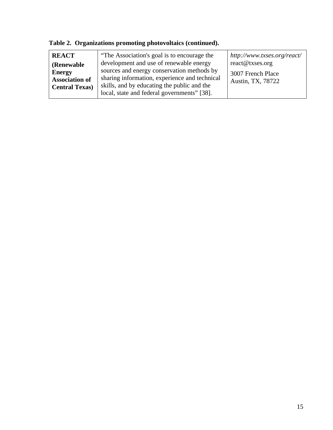| <b>REACT</b>          | "The Association's goal is to encourage the   | http://www.txses.org/react/ |
|-----------------------|-----------------------------------------------|-----------------------------|
| <b>(Renewable)</b>    | development and use of renewable energy       | react@txses.org             |
| <b>Energy</b>         | sources and energy conservation methods by    | 3007 French Place           |
| <b>Association of</b> | sharing information, experience and technical | Austin, TX, 78722           |
| <b>Central Texas)</b> | skills, and by educating the public and the   |                             |
|                       | local, state and federal governments" [38].   |                             |

**Table 2. Organizations promoting photovoltaics (continued).**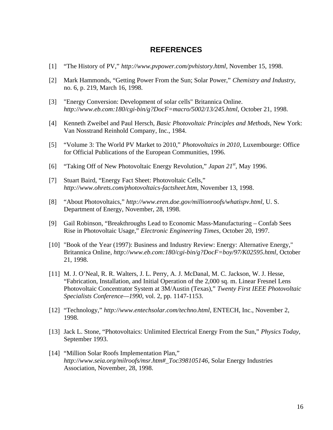#### **REFERENCES**

- [1] "The History of PV," *http://www.pvpower.com/pvhistory.html*, November 15, 1998.
- [2] Mark Hammonds, "Getting Power From the Sun; Solar Power," *Chemistry and Industry*, no. 6, p. 219, March 16, 1998.
- [3] "Energy Conversion: Development of solar cells" Britannica Online. *http://www.eb.com:180/cgi-bin/g?DocF=macro/5002/13/245.html*, October 21, 1998.
- [4] Kenneth Zweibel and Paul Hersch, *Basic Photovoltaic Principles and Methods*, New York: Van Nosstrand Reinhold Company, Inc., 1984.
- [5] "Volume 3: The World PV Market to 2010," *Photovoltaics in 2010*, Luxembourge: Office for Official Publications of the European Communities, 1996.
- [6] "Taking Off of New Photovoltaic Energy Revolution," *Japan 21st*, May 1996.
- [7] Stuart Baird, "Energy Fact Sheet: Photovoltaic Cells," *http://www.ohrets.com/photovoltaics-factsheet.htm*, November 13, 1998.
- [8] "About Photovoltaics," *http://www.eren.doe.gov/millionroofs/whatispv.html*, U. S. Department of Energy, November, 28, 1998.
- [9] Gail Robinson, "Breakthroughs Lead to Economic Mass-Manufacturing Confab Sees Rise in Photovoltaic Usage," *Electronic Engineering Times*, October 20, 1997.
- [10] "Book of the Year (1997): Business and Industry Review: Energy: Alternative Energy," Britannica Online, *http://www.eb.com:180/cgi-bin/g?DocF=boy/97/K02595.html*, October 21, 1998.
- [11] M. J. O'Neal, R. R. Walters, J. L. Perry, A. J. McDanal, M. C. Jackson, W. J. Hesse, "Fabrication, Installation, and Initial Operation of the 2,000 sq. m. Linear Fresnel Lens Photovoltaic Concentrator System at 3M/Austin (Texas)," *Twenty First IEEE Photovoltaic Specialists Conference—1990*, vol. 2, pp. 1147-1153.
- [12] "Technology," *http://www.entechsolar.com/techno.html*, ENTECH, Inc., November 2, 1998.
- [13] Jack L. Stone, "Photovoltaics: Unlimited Electrical Energy From the Sun," *Physics Today*, September 1993.
- [14] "Million Solar Roofs Implementation Plan," *http://www.seia.org/milroofs/msr.htm#\_Toc398105146*, Solar Energy Industries Association, November, 28, 1998.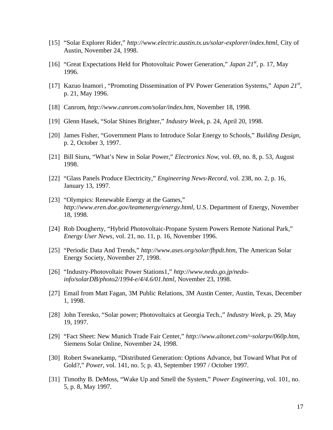- [15] "Solar Explorer Rider," *http://www.electric.austin.tx.us/solar-explorer/index.html*, City of Austin, November 24, 1998.
- [16] "Great Expectations Held for Photovoltaic Power Generation," *Japan 21st*, p. 17, May 1996.
- [17] Kazuo Inamori , "Promoting Dissemination of PV Power Generation Systems," *Japan 21st* , p. 21, May 1996.
- [18] Canrom, *http://www.canrom.com/solar/index.htm*, November 18, 1998.
- [19] Glenn Hasek, "Solar Shines Brighter," *Industry Week*, p. 24, April 20, 1998.
- [20] James Fisher, "Government Plans to Introduce Solar Energy to Schools," *Building Design*, p. 2, October 3, 1997.
- [21] Bill Siuru, "What's New in Solar Power," *Electronics Now*, vol. 69, no. 8, p. 53, August 1998.
- [22] "Glass Panels Produce Electricity," *Engineering News-Record*, vol. 238, no. 2, p. 16, January 13, 1997.
- [23] "Olympics: Renewable Energy at the Games," *http://www.eren.doe.gov/teamenergy/energy.html*, U.S. Department of Energy, November 18, 1998.
- [24] Rob Dougherty, "Hybrid Photovoltaic-Propane System Powers Remote National Park," *Energy User News*, vol. 21, no. 11, p. 16, November 1996.
- [25] "Periodic Data And Trends," *http://www.ases.org/solar/fbpdt.htm*, The American Solar Energy Society, November 27, 1998.
- [26] "Industry-Photovoltaic Power Stations1," *http://www.nedo.go.jp/nedoinfo/solarDB/photo2/1994-e/4/4.6/01.html*, November 23, 1998.
- [27] Email from Matt Fagan, 3M Public Relations, 3M Austin Center, Austin, Texas, December 1, 1998.
- [28] John Teresko, "Solar power; Photovoltaics at Georgia Tech.," *Industry Week*, p. 29, May 19, 1997.
- [29] "Fact Sheet: New Munich Trade Fair Center," *http://www.altonet.com/~solarpv/060p.htm*, Siemens Solar Online, November 24, 1998.
- [30] Robert Swanekamp, "Distributed Generation: Options Advance, but Toward What Pot of Gold?," *Power*, vol. 141, no. 5; p. 43, September 1997 / October 1997.
- [31] Timothy B. DeMoss, "Wake Up and Smell the System," *Power Engineering*, vol. 101, no. 5, p. 8, May 1997.